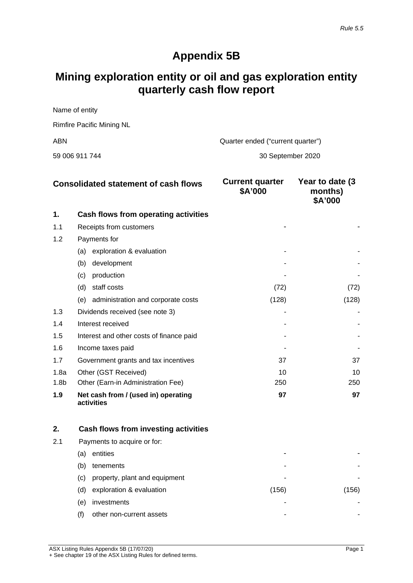## **Appendix 5B**

# **Mining exploration entity or oil and gas exploration entity quarterly cash flow report**

| Name of entity                   |  |
|----------------------------------|--|
| <b>Rimfire Pacific Mining NL</b> |  |

ABN Quarter ended ("current quarter")

59 006 911 744 30 September 2020

| <b>Consolidated statement of cash flows</b> |                                                   | <b>Current quarter</b><br>\$A'000 | Year to date (3)<br>months)<br>\$A'000 |
|---------------------------------------------|---------------------------------------------------|-----------------------------------|----------------------------------------|
| 1.                                          | Cash flows from operating activities              |                                   |                                        |
| 1.1                                         | Receipts from customers                           |                                   |                                        |
| 1.2                                         | Payments for                                      |                                   |                                        |
|                                             | exploration & evaluation<br>(a)                   |                                   |                                        |
|                                             | (b)<br>development                                |                                   |                                        |
|                                             | (c)<br>production                                 |                                   |                                        |
|                                             | (d)<br>staff costs                                | (72)                              | (72)                                   |
|                                             | administration and corporate costs<br>(e)         | (128)                             | (128)                                  |
| 1.3                                         | Dividends received (see note 3)                   |                                   |                                        |
| 1.4                                         | Interest received                                 |                                   |                                        |
| 1.5                                         | Interest and other costs of finance paid          |                                   |                                        |
| 1.6                                         | Income taxes paid                                 |                                   |                                        |
| 1.7                                         | Government grants and tax incentives              | 37                                | 37                                     |
| 1.8a                                        | Other (GST Received)                              | 10                                | 10                                     |
| 1.8 <sub>b</sub>                            | Other (Earn-in Administration Fee)                | 250                               | 250                                    |
| 1.9                                         | Net cash from / (used in) operating<br>activities | 97                                | 97                                     |

| 2.  |     | Cash flows from investing activities |       |     |
|-----|-----|--------------------------------------|-------|-----|
| 2.1 |     | Payments to acquire or for:          |       |     |
|     | (a) | entities                             |       |     |
|     | (b) | tenements                            | -     |     |
|     | (C) | property, plant and equipment        | -     |     |
|     | (d) | exploration & evaluation             | (156) | 156 |
|     | (e) | investments                          | -     |     |
|     | (f) | other non-current assets             | ۰     |     |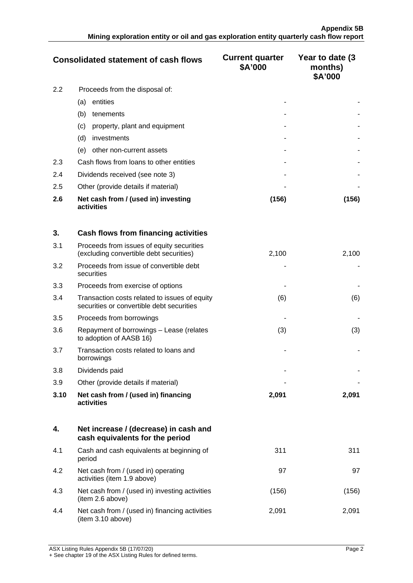| <b>Consolidated statement of cash flows</b> |                                                   | <b>Current quarter</b><br>\$A'000 | Year to date (3)<br>months)<br>\$A'000 |
|---------------------------------------------|---------------------------------------------------|-----------------------------------|----------------------------------------|
| 2.2                                         | Proceeds from the disposal of:                    |                                   |                                        |
|                                             | entities<br>(a)                                   |                                   |                                        |
|                                             | (b)<br>tenements                                  |                                   |                                        |
|                                             | property, plant and equipment<br>(c)              |                                   |                                        |
|                                             | (d)<br>investments                                |                                   |                                        |
|                                             | other non-current assets<br>(e)                   |                                   |                                        |
| 2.3                                         | Cash flows from loans to other entities           |                                   |                                        |
| 2.4                                         | Dividends received (see note 3)                   |                                   |                                        |
| 2.5                                         | Other (provide details if material)               |                                   |                                        |
| 2.6                                         | Net cash from / (used in) investing<br>activities | (156)                             | (156)                                  |

| 3.   | Cash flows from financing activities                                                       |       |       |
|------|--------------------------------------------------------------------------------------------|-------|-------|
| 3.1  | Proceeds from issues of equity securities<br>(excluding convertible debt securities)       | 2,100 | 2,100 |
| 3.2  | Proceeds from issue of convertible debt<br>securities                                      |       |       |
| 3.3  | Proceeds from exercise of options                                                          |       |       |
| 3.4  | Transaction costs related to issues of equity<br>securities or convertible debt securities | (6)   | (6)   |
| 3.5  | Proceeds from borrowings                                                                   |       |       |
| 3.6  | Repayment of borrowings – Lease (relates<br>to adoption of AASB 16)                        | (3)   | (3)   |
| 3.7  | Transaction costs related to loans and<br>borrowings                                       |       |       |
| 3.8  | Dividends paid                                                                             |       |       |
| 3.9  | Other (provide details if material)                                                        |       |       |
| 3.10 | Net cash from / (used in) financing<br>activities                                          | 2,091 | 2,091 |

|     | Net increase / (decrease) in cash and<br>cash equivalents for the period |       |      |
|-----|--------------------------------------------------------------------------|-------|------|
| 4.1 | Cash and cash equivalents at beginning of<br>period                      | 311   | 311  |
| 4.2 | Net cash from / (used in) operating<br>activities (item 1.9 above)       | 97    | 97   |
| 4.3 | Net cash from / (used in) investing activities<br>(item 2.6 above)       | (156) | 156  |
| 4.4 | Net cash from / (used in) financing activities<br>(item 3.10 above)      | 2.091 | 2 09 |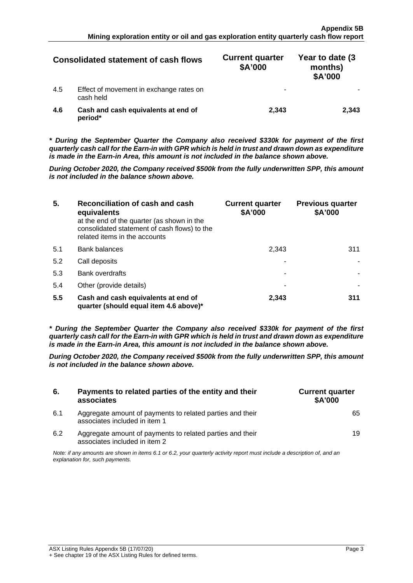| <b>Consolidated statement of cash flows</b> |                                                      | <b>Current quarter</b><br>\$A'000 | Year to date (3)<br>months)<br>\$A'000 |
|---------------------------------------------|------------------------------------------------------|-----------------------------------|----------------------------------------|
| 4.5                                         | Effect of movement in exchange rates on<br>cash held | -                                 |                                        |
| 4.6                                         | Cash and cash equivalents at end of<br>period*       | 2.343                             |                                        |

*\* During the September Quarter the Company also received \$330k for payment of the first quarterly cash call for the Earn-in with GPR which is held in trust and drawn down as expenditure is made in the Earn-in Area, this amount is not included in the balance shown above.*

*During October 2020, the Company received \$500k from the fully underwritten SPP, this amount is not included in the balance shown above.*

| 5.  | Reconciliation of cash and cash<br>equivalents<br>at the end of the quarter (as shown in the<br>consolidated statement of cash flows) to the<br>related items in the accounts | <b>Current quarter</b><br>\$A'000 | <b>Previous quarter</b><br>\$A'000 |
|-----|-------------------------------------------------------------------------------------------------------------------------------------------------------------------------------|-----------------------------------|------------------------------------|
| 5.1 | <b>Bank balances</b>                                                                                                                                                          | 2.343                             | 31.                                |
| 5.2 | Call deposits                                                                                                                                                                 |                                   |                                    |
| 5.3 | <b>Bank overdrafts</b>                                                                                                                                                        |                                   |                                    |
| 5.4 | Other (provide details)                                                                                                                                                       |                                   |                                    |
| 5.5 | Cash and cash equivalents at end of<br>quarter (should equal item 4.6 above)*                                                                                                 | 2,343                             | 311                                |

*\* During the September Quarter the Company also received \$330k for payment of the first quarterly cash call for the Earn-in with GPR which is held in trust and drawn down as expenditure is made in the Earn-in Area, this amount is not included in the balance shown above.*

*During October 2020, the Company received \$500k from the fully underwritten SPP, this amount is not included in the balance shown above.*

| 6.  | Payments to related parties of the entity and their<br>associates                                                                                           | <b>Current quarter</b><br><b>\$A'000</b> |
|-----|-------------------------------------------------------------------------------------------------------------------------------------------------------------|------------------------------------------|
| 6.1 | Aggregate amount of payments to related parties and their<br>associates included in item 1                                                                  |                                          |
| 62  | Aggregate amount of payments to related parties and their<br>associates included in item 2                                                                  |                                          |
|     | Note: if any amounts are shown in items 6.1 or 6.2, your quarterly activity report must include a description of, and an<br>explanation for, such payments. |                                          |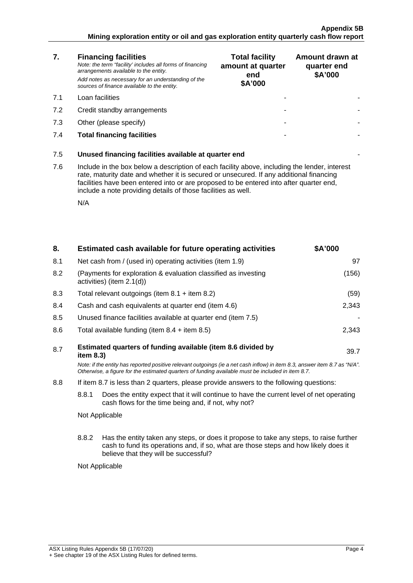### **Appendix 5B Mining exploration entity or oil and gas exploration entity quarterly cash flow report**

| 7.  | <b>Financing facilities</b><br>Note: the term "facility' includes all forms of financing<br>arrangements available to the entity.<br>Add notes as necessary for an understanding of the<br>sources of finance available to the entity.                                                                                                               | <b>Total facility</b><br>amount at quarter<br>end<br>\$A'000 | Amount drawn at<br>quarter end<br>\$A'000 |
|-----|------------------------------------------------------------------------------------------------------------------------------------------------------------------------------------------------------------------------------------------------------------------------------------------------------------------------------------------------------|--------------------------------------------------------------|-------------------------------------------|
| 7.1 | Loan facilities                                                                                                                                                                                                                                                                                                                                      |                                                              |                                           |
| 7.2 | Credit standby arrangements                                                                                                                                                                                                                                                                                                                          |                                                              |                                           |
| 7.3 | Other (please specify)                                                                                                                                                                                                                                                                                                                               |                                                              |                                           |
| 7.4 | <b>Total financing facilities</b>                                                                                                                                                                                                                                                                                                                    |                                                              |                                           |
| 7.5 | Unused financing facilities available at quarter end                                                                                                                                                                                                                                                                                                 |                                                              |                                           |
| 7.6 | Include in the box below a description of each facility above, including the lender, interest<br>rate, maturity date and whether it is secured or unsecured. If any additional financing<br>facilities have been entered into or are proposed to be entered into after quarter end,<br>include a note providing details of those facilities as well. |                                                              |                                           |
|     | N/A                                                                                                                                                                                                                                                                                                                                                  |                                                              |                                           |

| 8.                                                                                                                                                      |           | Estimated cash available for future operating activities                                                                                                                                                                        | \$A'000 |
|---------------------------------------------------------------------------------------------------------------------------------------------------------|-----------|---------------------------------------------------------------------------------------------------------------------------------------------------------------------------------------------------------------------------------|---------|
| 8.1                                                                                                                                                     |           | Net cash from / (used in) operating activities (item 1.9)                                                                                                                                                                       | 97      |
| 8.2                                                                                                                                                     |           | (Payments for exploration & evaluation classified as investing<br>activities) (item 2.1(d))                                                                                                                                     | (156)   |
| 8.3                                                                                                                                                     |           | Total relevant outgoings (item $8.1 +$ item $8.2$ )                                                                                                                                                                             | (59)    |
| 8.4                                                                                                                                                     |           | Cash and cash equivalents at quarter end (item 4.6)                                                                                                                                                                             | 2,343   |
| 8.5                                                                                                                                                     |           | Unused finance facilities available at quarter end (item 7.5)                                                                                                                                                                   |         |
| 8.6                                                                                                                                                     |           | Total available funding (item $8.4 +$ item $8.5$ )                                                                                                                                                                              | 2,343   |
| 8.7                                                                                                                                                     | item 8.3) | Estimated quarters of funding available (item 8.6 divided by                                                                                                                                                                    | 39.7    |
|                                                                                                                                                         |           | Note: if the entity has reported positive relevant outgoings (ie a net cash inflow) in item 8.3, answer item 8.7 as "N/A".<br>Otherwise, a figure for the estimated quarters of funding available must be included in item 8.7. |         |
| 8.8                                                                                                                                                     |           | If item 8.7 is less than 2 quarters, please provide answers to the following questions:                                                                                                                                         |         |
| 8.8.1<br>Does the entity expect that it will continue to have the current level of net operating<br>cash flows for the time being and, if not, why not? |           |                                                                                                                                                                                                                                 |         |
| Not Applicable                                                                                                                                          |           |                                                                                                                                                                                                                                 |         |
|                                                                                                                                                         | 8.8.2     | Has the entity taken any steps, or does it propose to take any steps, to raise further<br>cash to fund its operations and, if so, what are those steps and how likely does it<br>believe that they will be successful?          |         |
|                                                                                                                                                         |           | Not Applicable                                                                                                                                                                                                                  |         |